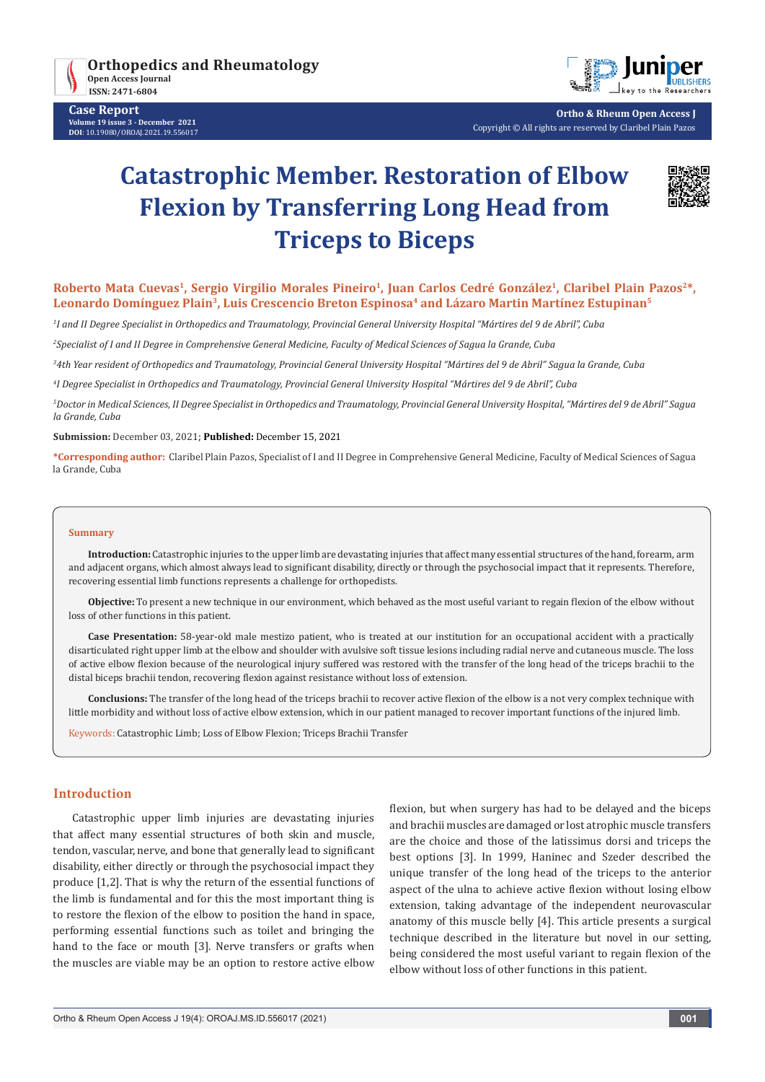

**Case Report Volume 19 issue 3 - December 2021 DOI**: [10.19080/OROAJ.2021.19.55](http://dx.doi.org/10.19080/OROAJ.2021.19.556017)6017



**Ortho & Rheum Open Access J** Copyright © All rights are reserved by Claribel Plain Pazos

# **Catastrophic Member. Restoration of Elbow Flexion by Transferring Long Head from Triceps to Biceps**



# Roberto Mata Cuevas<sup>1</sup>, Sergio Virgilio Morales Pineiro<sup>1</sup>, Juan Carlos Cedré González<sup>1</sup>, Claribel Plain Pazos<sup>2\*</sup>, Leonardo Domínguez Plain<sup>3</sup>, Luis Crescencio Breton Espinosa<sup>4</sup> and Lázaro Martin Martínez Estupinan<sup>5</sup>

*1 I and II Degree Specialist in Orthopedics and Traumatology, Provincial General University Hospital "Mártires del 9 de Abril", Cuba*

*2 Specialist of I and II Degree in Comprehensive General Medicine, Faculty of Medical Sciences of Sagua la Grande, Cuba*

*3 4th Year resident of Orthopedics and Traumatology, Provincial General University Hospital "Mártires del 9 de Abril" Sagua la Grande, Cuba*

*4 I Degree Specialist in Orthopedics and Traumatology, Provincial General University Hospital "Mártires del 9 de Abril", Cuba*

*5 Doctor in Medical Sciences, II Degree Specialist in Orthopedics and Traumatology, Provincial General University Hospital, "Mártires del 9 de Abril" Sagua la Grande, Cuba*

**Submission:** December 03, 2021; **Published:** December 15, 2021

**\*Corresponding author:** Claribel Plain Pazos, Specialist of I and II Degree in Comprehensive General Medicine, Faculty of Medical Sciences of Sagua la Grande, Cuba

#### **Summary**

**Introduction:** Catastrophic injuries to the upper limb are devastating injuries that affect many essential structures of the hand, forearm, arm and adjacent organs, which almost always lead to significant disability, directly or through the psychosocial impact that it represents. Therefore, recovering essential limb functions represents a challenge for orthopedists.

**Objective:** To present a new technique in our environment, which behaved as the most useful variant to regain flexion of the elbow without loss of other functions in this patient.

**Case Presentation:** 58-year-old male mestizo patient, who is treated at our institution for an occupational accident with a practically disarticulated right upper limb at the elbow and shoulder with avulsive soft tissue lesions including radial nerve and cutaneous muscle. The loss of active elbow flexion because of the neurological injury suffered was restored with the transfer of the long head of the triceps brachii to the distal biceps brachii tendon, recovering flexion against resistance without loss of extension.

**Conclusions:** The transfer of the long head of the triceps brachii to recover active flexion of the elbow is a not very complex technique with little morbidity and without loss of active elbow extension, which in our patient managed to recover important functions of the injured limb.

Keywords: Catastrophic Limb; Loss of Elbow Flexion; Triceps Brachii Transfer

# **Introduction**

Catastrophic upper limb injuries are devastating injuries that affect many essential structures of both skin and muscle, tendon, vascular, nerve, and bone that generally lead to significant disability, either directly or through the psychosocial impact they produce [1,2]. That is why the return of the essential functions of the limb is fundamental and for this the most important thing is to restore the flexion of the elbow to position the hand in space, performing essential functions such as toilet and bringing the hand to the face or mouth [3]. Nerve transfers or grafts when the muscles are viable may be an option to restore active elbow

flexion, but when surgery has had to be delayed and the biceps and brachii muscles are damaged or lost atrophic muscle transfers are the choice and those of the latissimus dorsi and triceps the best options [3]. In 1999, Haninec and Szeder described the unique transfer of the long head of the triceps to the anterior aspect of the ulna to achieve active flexion without losing elbow extension, taking advantage of the independent neurovascular anatomy of this muscle belly [4]. This article presents a surgical technique described in the literature but novel in our setting, being considered the most useful variant to regain flexion of the elbow without loss of other functions in this patient.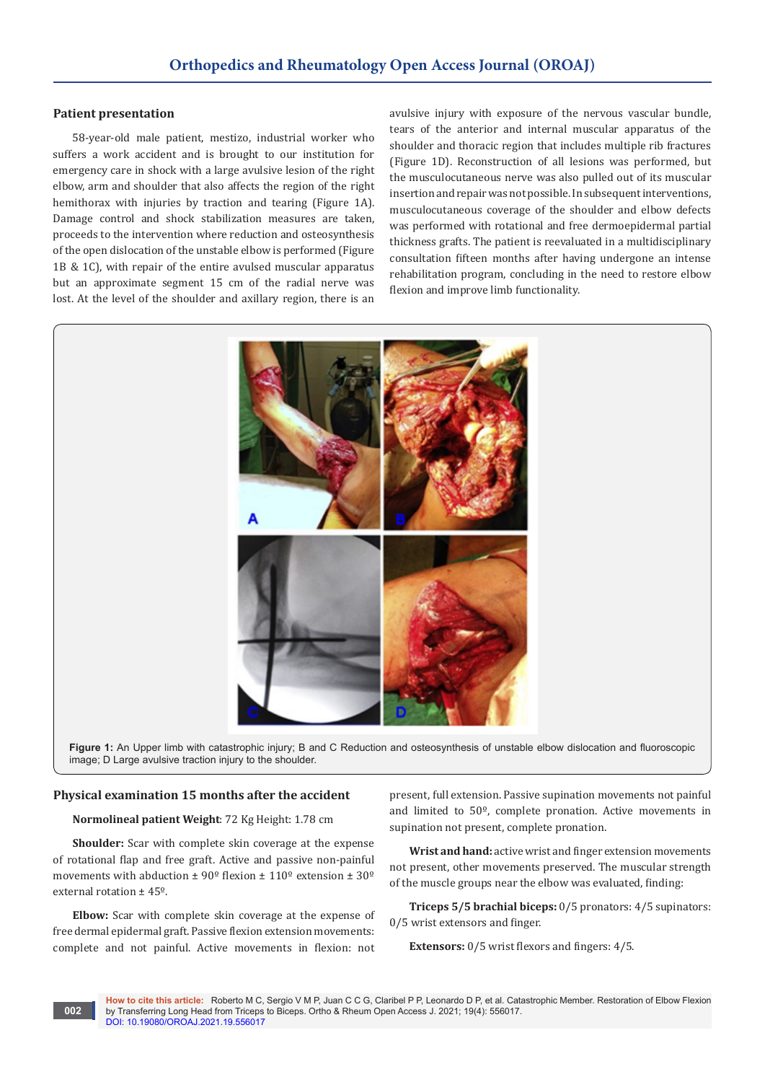### **Patient presentation**

58-year-old male patient, mestizo, industrial worker who suffers a work accident and is brought to our institution for emergency care in shock with a large avulsive lesion of the right elbow, arm and shoulder that also affects the region of the right hemithorax with injuries by traction and tearing (Figure 1A). Damage control and shock stabilization measures are taken, proceeds to the intervention where reduction and osteosynthesis of the open dislocation of the unstable elbow is performed (Figure 1B & 1C), with repair of the entire avulsed muscular apparatus but an approximate segment 15 cm of the radial nerve was lost. At the level of the shoulder and axillary region, there is an

avulsive injury with exposure of the nervous vascular bundle, tears of the anterior and internal muscular apparatus of the shoulder and thoracic region that includes multiple rib fractures (Figure 1D). Reconstruction of all lesions was performed, but the musculocutaneous nerve was also pulled out of its muscular insertion and repair was not possible. In subsequent interventions, musculocutaneous coverage of the shoulder and elbow defects was performed with rotational and free dermoepidermal partial thickness grafts. The patient is reevaluated in a multidisciplinary consultation fifteen months after having undergone an intense rehabilitation program, concluding in the need to restore elbow flexion and improve limb functionality.



**Figure 1:** An Upper limb with catastrophic injury; B and C Reduction and osteosynthesis of unstable elbow dislocation and fluoroscopic image; D Large avulsive traction injury to the shoulder.

#### **Physical examination 15 months after the accident**

### **Normolineal patient Weight**: 72 Kg Height: 1.78 cm

**Shoulder:** Scar with complete skin coverage at the expense of rotational flap and free graft. Active and passive non-painful movements with abduction  $\pm 90^{\circ}$  flexion  $\pm 110^{\circ}$  extension  $\pm 30^{\circ}$ external rotation ± 45º.

**Elbow:** Scar with complete skin coverage at the expense of free dermal epidermal graft. Passive flexion extension movements: complete and not painful. Active movements in flexion: not

**002**

present, full extension. Passive supination movements not painful and limited to 50º, complete pronation. Active movements in supination not present, complete pronation.

**Wrist and hand:** active wrist and finger extension movements not present, other movements preserved. The muscular strength of the muscle groups near the elbow was evaluated, finding:

**Triceps 5/5 brachial biceps:** 0/5 pronators: 4/5 supinators: 0/5 wrist extensors and finger.

**Extensors:** 0/5 wrist flexors and fingers: 4/5.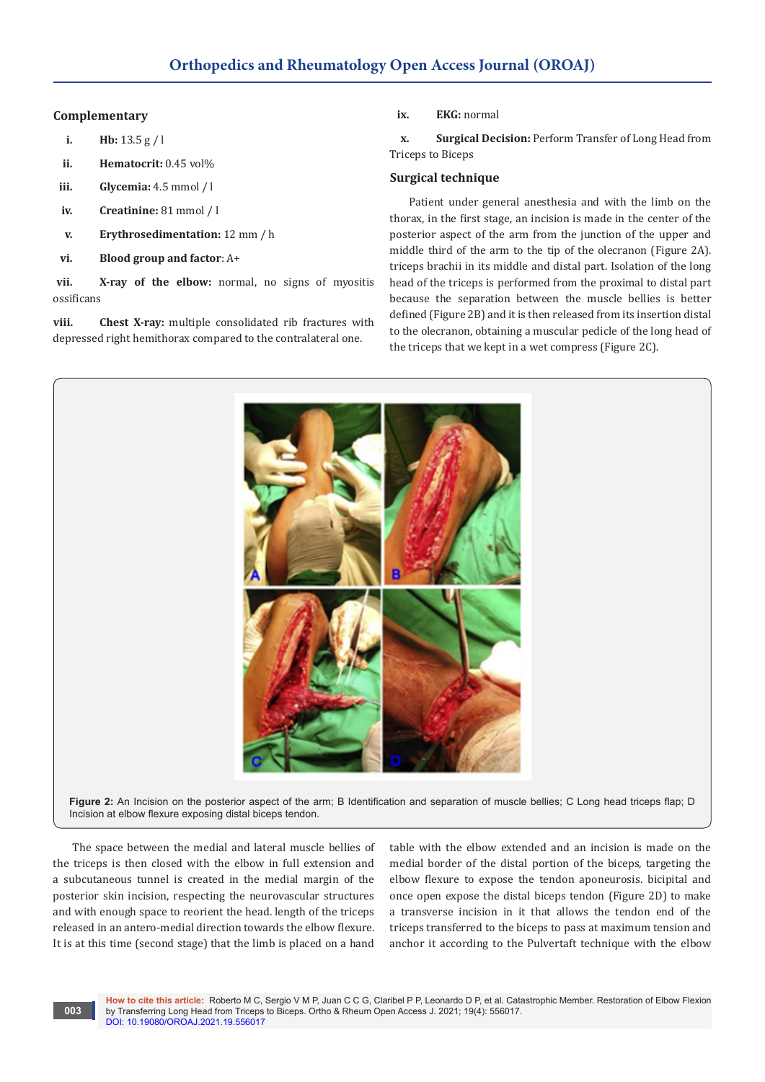### **Complementary**

- **i. Hb:** 13.5 g / l
- **ii. Hematocrit:** 0.45 vol%
- **iii. Glycemia:** 4.5 mmol / l
- **iv. Creatinine:** 81 mmol / l
- **v. Erythrosedimentation:** 12 mm / h
- **vi. Blood group and factor**: A+

**vii. X-ray of the elbow:** normal, no signs of myositis ossificans

**viii. Chest X-ray:** multiple consolidated rib fractures with depressed right hemithorax compared to the contralateral one.

**ix. EKG:** normal

**x. Surgical Decision:** Perform Transfer of Long Head from Triceps to Biceps

# **Surgical technique**

Patient under general anesthesia and with the limb on the thorax, in the first stage, an incision is made in the center of the posterior aspect of the arm from the junction of the upper and middle third of the arm to the tip of the olecranon (Figure 2A). triceps brachii in its middle and distal part. Isolation of the long head of the triceps is performed from the proximal to distal part because the separation between the muscle bellies is better defined (Figure 2B) and it is then released from its insertion distal to the olecranon, obtaining a muscular pedicle of the long head of the triceps that we kept in a wet compress (Figure 2C).



Figure 2: An Incision on the posterior aspect of the arm; B Identification and separation of muscle bellies; C Long head triceps flap; D Incision at elbow flexure exposing distal biceps tendon.

The space between the medial and lateral muscle bellies of the triceps is then closed with the elbow in full extension and a subcutaneous tunnel is created in the medial margin of the posterior skin incision, respecting the neurovascular structures and with enough space to reorient the head. length of the triceps released in an antero-medial direction towards the elbow flexure. It is at this time (second stage) that the limb is placed on a hand

**003**

table with the elbow extended and an incision is made on the medial border of the distal portion of the biceps, targeting the elbow flexure to expose the tendon aponeurosis. bicipital and once open expose the distal biceps tendon (Figure 2D) to make a transverse incision in it that allows the tendon end of the triceps transferred to the biceps to pass at maximum tension and anchor it according to the Pulvertaft technique with the elbow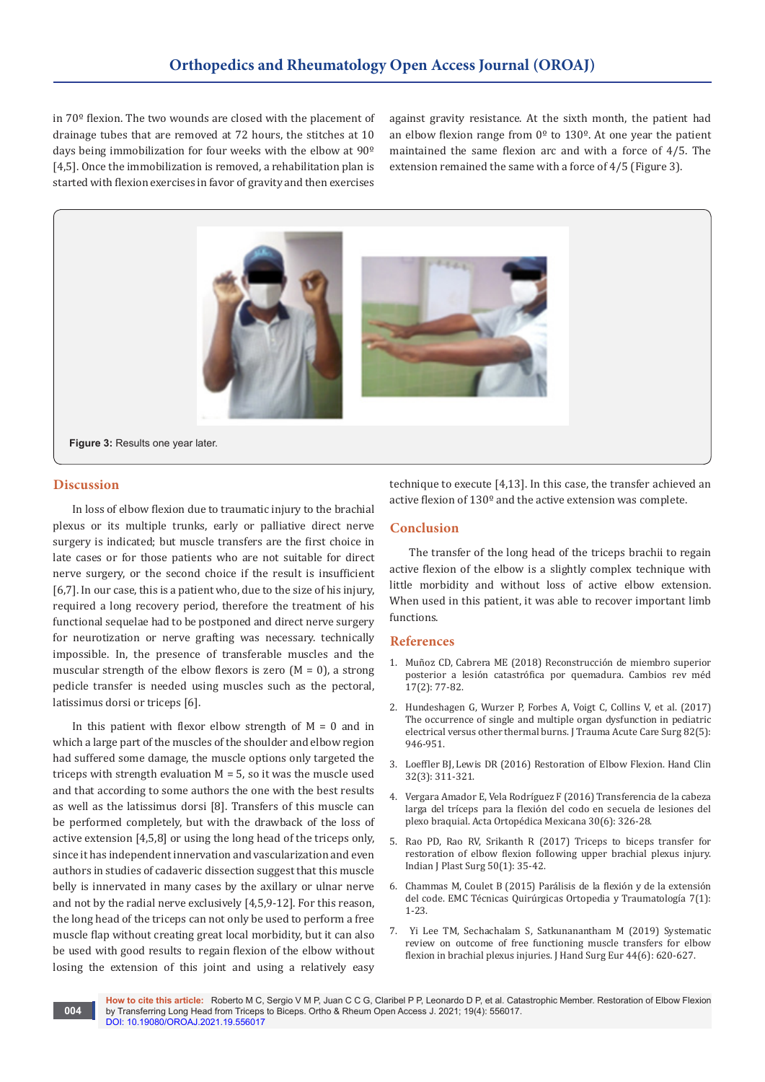in 70º flexion. The two wounds are closed with the placement of drainage tubes that are removed at 72 hours, the stitches at 10 days being immobilization for four weeks with the elbow at 90º [4,5]. Once the immobilization is removed, a rehabilitation plan is started with flexion exercises in favor of gravity and then exercises against gravity resistance. At the sixth month, the patient had an elbow flexion range from  $0^{\circ}$  to 130°. At one year the patient maintained the same flexion arc and with a force of 4/5. The extension remained the same with a force of 4/5 (Figure 3).



# **Discussion**

**004**

In loss of elbow flexion due to traumatic injury to the brachial plexus or its multiple trunks, early or palliative direct nerve surgery is indicated; but muscle transfers are the first choice in late cases or for those patients who are not suitable for direct nerve surgery, or the second choice if the result is insufficient [6,7]. In our case, this is a patient who, due to the size of his injury, required a long recovery period, therefore the treatment of his functional sequelae had to be postponed and direct nerve surgery for neurotization or nerve grafting was necessary. technically impossible. In, the presence of transferable muscles and the muscular strength of the elbow flexors is zero  $(M = 0)$ , a strong pedicle transfer is needed using muscles such as the pectoral, latissimus dorsi or triceps [6].

In this patient with flexor elbow strength of  $M = 0$  and in which a large part of the muscles of the shoulder and elbow region had suffered some damage, the muscle options only targeted the triceps with strength evaluation  $M = 5$ , so it was the muscle used and that according to some authors the one with the best results as well as the latissimus dorsi [8]. Transfers of this muscle can be performed completely, but with the drawback of the loss of active extension [4,5,8] or using the long head of the triceps only, since it has independent innervation and vascularization and even authors in studies of cadaveric dissection suggest that this muscle belly is innervated in many cases by the axillary or ulnar nerve and not by the radial nerve exclusively [4,5,9-12]. For this reason, the long head of the triceps can not only be used to perform a free muscle flap without creating great local morbidity, but it can also be used with good results to regain flexion of the elbow without losing the extension of this joint and using a relatively easy

technique to execute [4,13]. In this case, the transfer achieved an active flexion of 130º and the active extension was complete.

# **Conclusion**

The transfer of the long head of the triceps brachii to regain active flexion of the elbow is a slightly complex technique with little morbidity and without loss of active elbow extension. When used in this patient, it was able to recover important limb functions.

### **References**

- 1. Mu[ñoz CD, Cabrera ME \(2018\) Reconstrucción de miembro superior](https://revistahcam.iess.gob.ec/index.php/cambios/article/view/308)  [posterior a lesión catastrófica por quemadura. Cambios rev méd](https://revistahcam.iess.gob.ec/index.php/cambios/article/view/308)  [17\(2\): 77-82.](https://revistahcam.iess.gob.ec/index.php/cambios/article/view/308)
- 2. [Hundeshagen G, Wurzer P, Forbes A, Voigt C, Collins V, et al. \(2017\)](https://pubmed.ncbi.nlm.nih.gov/28431417/)  [The occurrence of single and multiple organ dysfunction in pediatric](https://pubmed.ncbi.nlm.nih.gov/28431417/)  [electrical versus other thermal burns. J Trauma Acute Care Surg 82\(5\):](https://pubmed.ncbi.nlm.nih.gov/28431417/)  [946-951.](https://pubmed.ncbi.nlm.nih.gov/28431417/)
- 3. Loeffler BJ, [Lewis DR \(2016\) Restoration of Elbow Flexion.](https://pubmed.ncbi.nlm.nih.gov/27387075/) Hand Clin [32\(3\): 311-321.](https://pubmed.ncbi.nlm.nih.gov/27387075/)
- 4. Vergara Amador E, Vela Rodrí[guez F \(2016\) Transferencia de la cabeza](https://www.medigraphic.com/cgi-bin/new/resumen.cgi?IDARTICULO=71683)  larga del tríceps para la flexió[n del codo en secuela de lesiones del](https://www.medigraphic.com/cgi-bin/new/resumen.cgi?IDARTICULO=71683)  [plexo braquial. Acta Ortopédica Mexicana 30\(6\): 326-28.](https://www.medigraphic.com/cgi-bin/new/resumen.cgi?IDARTICULO=71683)
- 5. [Rao PD, Rao RV, Srikanth R \(2017\) Triceps to biceps transfer for](https://pubmed.ncbi.nlm.nih.gov/28615808/)  [restoration of elbow flexion following upper brachial plexus injury.](https://pubmed.ncbi.nlm.nih.gov/28615808/)  [Indian J Plast Surg 50\(1\): 35-42.](https://pubmed.ncbi.nlm.nih.gov/28615808/)
- 6. [Chammas M, Coulet B \(2015\) Par](https://www.sciencedirect.com/science/article/abs/pii/S2211033X15701246?via%3Dihub)álisis de la flexión y de la extensión del code. EMC Té[cnicas Quirúrgicas Ortopedia y Traumatologí](https://www.sciencedirect.com/science/article/abs/pii/S2211033X15701246?via%3Dihub)a 7(1): [1-23.](https://www.sciencedirect.com/science/article/abs/pii/S2211033X15701246?via%3Dihub)
- 7. [Yi Lee](file:///\\?term=Yi+Lee+TM&cauthor_id=30722722) TM, [Sechachalam](file:///\\?term=Sechachalam+S&cauthor_id=30722722) S, [Satkunanantham](file:///\\\\?term=Satkunanantham+M&cauthor_id=30722722) M (2019) Systematic review on outcome of free functioning muscle transfers for elbow flexion in brachial plexus injuries. J Hand Surg Eur 44(6): 620-627.